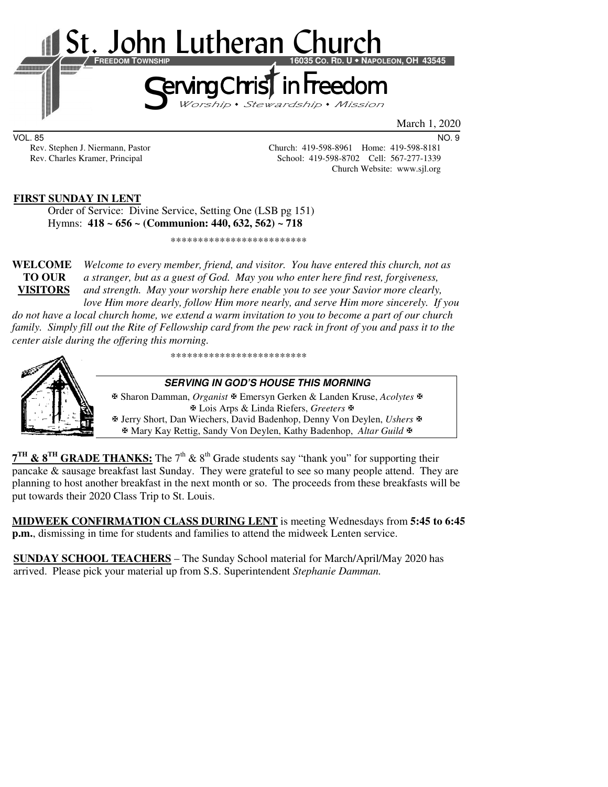

VOL. 85 NO. 9

Rev. Stephen J. Niermann, Pastor Church: 419-598-8961 Home: 419-598-8181 Rev. Charles Kramer, Principal School: 419-598-8702 Cell: 567-277-1339 Church Website: www.sjl.org

#### **FIRST SUNDAY IN LENT**

 Order of Service: Divine Service, Setting One (LSB pg 151) Hymns: **418 ~ 656 ~ (Communion: 440, 632, 562) ~ 718**

\*\*\*\*\*\*\*\*\*\*\*\*\*\*\*\*\*\*\*\*\*\*\*\*\*

**WELCOME** *Welcome to every member, friend, and visitor. You have entered this church, not as* **TO OUR** *a stranger, but as a guest of God. May you who enter here find rest, forgiveness,* **VISITORS** *and strength. May your worship here enable you to see your Savior more clearly, love Him more dearly, follow Him more nearly, and serve Him more sincerely. If you* 

*do not have a local church home, we extend a warm invitation to you to become a part of our church family. Simply fill out the Rite of Fellowship card from the pew rack in front of you and pass it to the center aisle during the offering this morning.* 

\*\*\*\*\*\*\*\*\*\*\*\*\*\*\*\*\*\*\*\*\*\*\*\*\*

#### **SERVING IN GOD'S HOUSE THIS MORNING**

 Sharon Damman, *Organist* Emersyn Gerken & Landen Kruse, *Acolytes* Lois Arps & Linda Riefers, *Greeters* Jerry Short, Dan Wiechers, David Badenhop, Denny Von Deylen, *Ushers* Mary Kay Rettig, Sandy Von Deylen, Kathy Badenhop, *Altar Guild*

**7<sup>TH</sup> & 8<sup>TH</sup> GRADE THANKS:** The 7<sup>th</sup> & 8<sup>th</sup> Grade students say "thank you" for supporting their pancake & sausage breakfast last Sunday. They were grateful to see so many people attend. They are planning to host another breakfast in the next month or so. The proceeds from these breakfasts will be put towards their 2020 Class Trip to St. Louis.

**MIDWEEK CONFIRMATION CLASS DURING LENT** is meeting Wednesdays from **5:45 to 6:45 p.m.**, dismissing in time for students and families to attend the midweek Lenten service.

**SUNDAY SCHOOL TEACHERS** – The Sunday School material for March/April/May 2020 has arrived. Please pick your material up from S.S. Superintendent *Stephanie Damman.*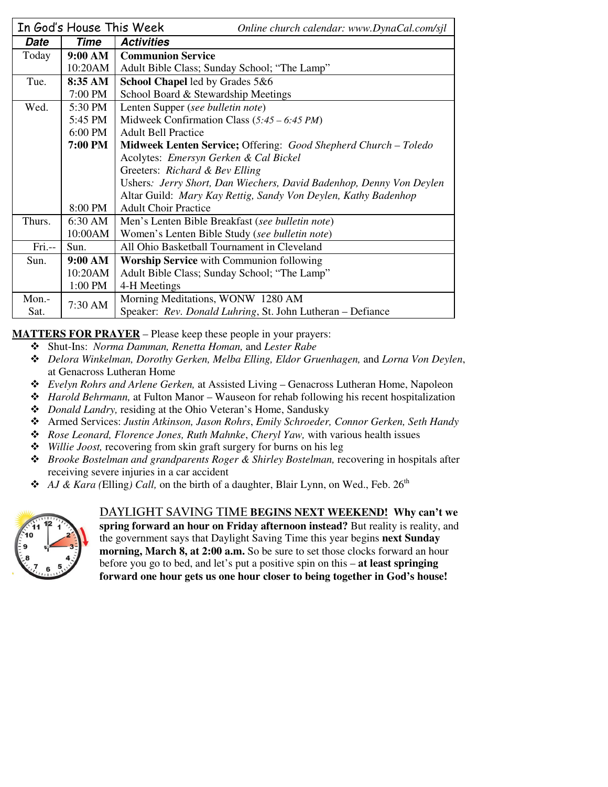|            | In God's House This Week | Online church calendar: www.DynaCal.com/sjl                                                           |  |  |  |
|------------|--------------------------|-------------------------------------------------------------------------------------------------------|--|--|--|
| Date       | <b>Time</b>              | <b>Activities</b>                                                                                     |  |  |  |
| Today      | 9:00 AM                  | <b>Communion Service</b>                                                                              |  |  |  |
|            | 10:20AM                  | Adult Bible Class; Sunday School; "The Lamp"                                                          |  |  |  |
| Tue.       | 8:35 AM                  | School Chapel led by Grades 5&6                                                                       |  |  |  |
|            | 7:00 PM                  | School Board & Stewardship Meetings                                                                   |  |  |  |
| Wed.       | 5:30 PM                  | Lenten Supper (see bulletin note)                                                                     |  |  |  |
|            | 5:45 PM                  | Midweek Confirmation Class $(5:45 - 6:45 PM)$                                                         |  |  |  |
|            | 6:00 PM                  | <b>Adult Bell Practice</b>                                                                            |  |  |  |
|            | <b>7:00 PM</b>           | Midweek Lenten Service; Offering: Good Shepherd Church - Toledo                                       |  |  |  |
|            |                          | Acolytes: Emersyn Gerken & Cal Bickel                                                                 |  |  |  |
|            |                          | Greeters: Richard & Bev Elling<br>Ushers: Jerry Short, Dan Wiechers, David Badenhop, Denny Von Deylen |  |  |  |
|            |                          |                                                                                                       |  |  |  |
|            |                          | Altar Guild: Mary Kay Rettig, Sandy Von Deylen, Kathy Badenhop                                        |  |  |  |
|            | 8:00 PM                  | <b>Adult Choir Practice</b>                                                                           |  |  |  |
| Thurs.     | 6:30 AM                  | Men's Lenten Bible Breakfast (see bulletin note)                                                      |  |  |  |
|            | 10:00AM                  | Women's Lenten Bible Study (see bulletin note)                                                        |  |  |  |
| $Fri. - -$ | Sun.                     | All Ohio Basketball Tournament in Cleveland                                                           |  |  |  |
| Sun.       | 9:00 AM                  | <b>Worship Service</b> with Communion following                                                       |  |  |  |
|            | 10:20AM                  | Adult Bible Class; Sunday School; "The Lamp"                                                          |  |  |  |
|            | 1:00 PM                  | 4-H Meetings                                                                                          |  |  |  |
| Mon.-      | 7:30 AM                  | Morning Meditations, WONW 1280 AM                                                                     |  |  |  |
| Sat.       |                          | Speaker: Rev. Donald Luhring, St. John Lutheran - Defiance                                            |  |  |  |

**MATTERS FOR PRAYER** – Please keep these people in your prayers:

- Shut-Ins: *Norma Damman, Renetta Homan,* and *Lester Rabe*
- *Delora Winkelman, Dorothy Gerken, Melba Elling, Eldor Gruenhagen,* and *Lorna Von Deylen*, at Genacross Lutheran Home
- *Evelyn Rohrs and Arlene Gerken,* at Assisted Living Genacross Lutheran Home, Napoleon
- *Harold Behrmann,* at Fulton Manor Wauseon for rehab following his recent hospitalization
- *Donald Landry,* residing at the Ohio Veteran's Home, Sandusky
- Armed Services: *Justin Atkinson, Jason Rohrs*, *Emily Schroeder, Connor Gerken, Seth Handy*
- *Rose Leonard, Florence Jones, Ruth Mahnke*, *Cheryl Yaw,* with various health issues
- *Willie Joost,* recovering from skin graft surgery for burns on his leg
- $\triangle$  *Brooke Bostelman and grandparents Roger & Shirley Bostelman, recovering in hospitals after* receiving severe injuries in a car accident
- ◆ *AJ & Kara (Elling) Call,* on the birth of a daughter, Blair Lynn, on Wed., Feb. 26<sup>th</sup>



# **DAYLIGHT SAVING TIME BEGINS NEXT WEEKEND! Why can't we**

**spring forward an hour on Friday afternoon instead?** But reality is reality, and the government says that Daylight Saving Time this year begins **next Sunday morning, March 8, at 2:00 a.m.** So be sure to set those clocks forward an hour before you go to bed, and let's put a positive spin on this – **at least springing forward one hour gets us one hour closer to being together in God's house!**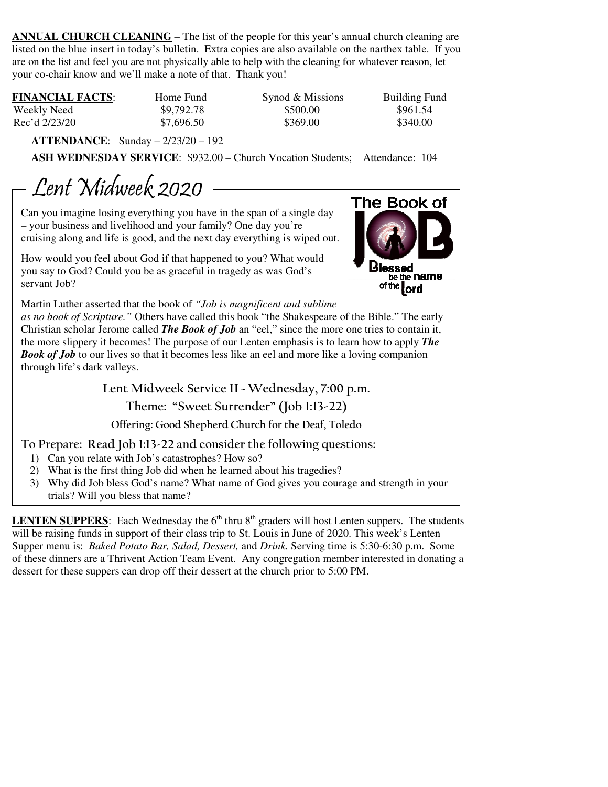**ANNUAL CHURCH CLEANING** – The list of the people for this year's annual church cleaning are listed on the blue insert in today's bulletin. Extra copies are also available on the narthex table. If you are on the list and feel you are not physically able to help with the cleaning for whatever reason, let your co-chair know and we'll make a note of that. Thank you!

| <b>FINANCIAL FACTS:</b> | Home Fund  | Synod & Missions | <b>Building Fund</b> |
|-------------------------|------------|------------------|----------------------|
| Weekly Need             | \$9,792.78 | \$500.00         | \$961.54             |
| Rec'd 2/23/20           | \$7,696.50 | \$369.00         | \$340.00             |

 **ATTENDANCE**: Sunday – 2/23/20 – 192

 **ASH WEDNESDAY SERVICE**: \$932.00 – Church Vocation Students; Attendance: 104

Lent Midweek 2020

Can you imagine losing everything you have in the span of a single day – your business and livelihood and your family? One day you're cruising along and life is good, and the next day everything is wiped out.

How would you feel about God if that happened to you? What would you say to God? Could you be as graceful in tragedy as was God's servant Job?



Martin Luther asserted that the book of *"Job is magnificent and sublime* 

*as no book of Scripture."* Others have called this book "the Shakespeare of the Bible." The early Christian scholar Jerome called *The Book of Job* an "eel," since the more one tries to contain it, the more slippery it becomes! The purpose of our Lenten emphasis is to learn how to apply *The Book of Job* to our lives so that it becomes less like an eel and more like a loving companion through life's dark valleys.

**Lent Midweek Service II ~ Wednesday, 7:00 p.m.** 

# **Theme: "Sweet Surrender" (Job 1:13-22)**

**Offering: Good Shepherd Church for the Deaf, Toledo**

**To Prepare: Read Job 1:13-22 and consider the following questions:** 

- 1) Can you relate with Job's catastrophes? How so?
- 2) What is the first thing Job did when he learned about his tragedies?
- 3) Why did Job bless God's name? What name of God gives you courage and strength in your trials? Will you bless that name?

**LENTEN SUPPERS**: Each Wednesday the  $6<sup>th</sup>$  thru  $8<sup>th</sup>$  graders will host Lenten suppers. The students will be raising funds in support of their class trip to St. Louis in June of 2020. This week's Lenten Supper menu is: *Baked Potato Bar, Salad, Dessert,* and *Drink.* Serving time is 5:30-6:30 p.m. Some of these dinners are a Thrivent Action Team Event. Any congregation member interested in donating a dessert for these suppers can drop off their dessert at the church prior to 5:00 PM.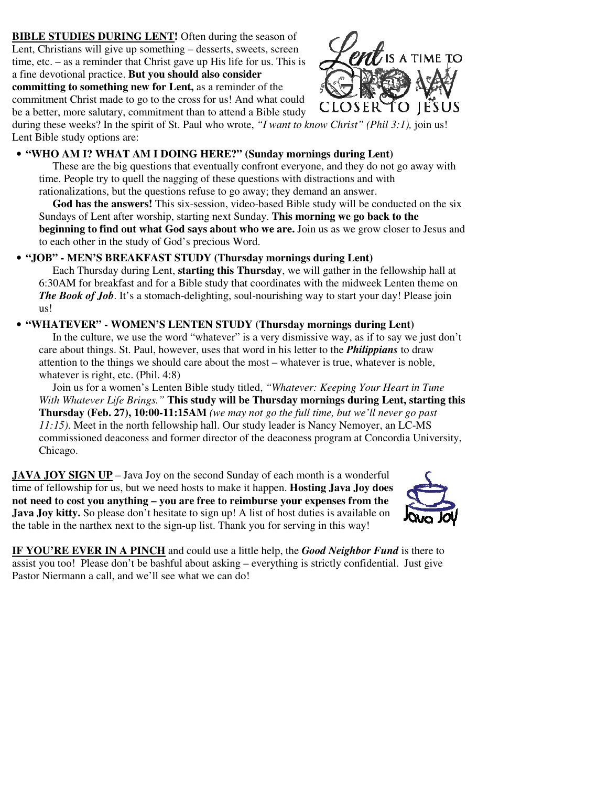**BIBLE STUDIES DURING LENT!** Often during the season of Lent, Christians will give up something – desserts, sweets, screen time, etc. – as a reminder that Christ gave up His life for us. This is a fine devotional practice. **But you should also consider committing to something new for Lent,** as a reminder of the

commitment Christ made to go to the cross for us! And what could be a better, more salutary, commitment than to attend a Bible study



during these weeks? In the spirit of St. Paul who wrote, *"I want to know Christ" (Phil 3:1),* join us! Lent Bible study options are:

#### • **"WHO AM I? WHAT AM I DOING HERE?" (Sunday mornings during Lent)**

 These are the big questions that eventually confront everyone, and they do not go away with time. People try to quell the nagging of these questions with distractions and with rationalizations, but the questions refuse to go away; they demand an answer.

 **God has the answers!** This six-session, video-based Bible study will be conducted on the six Sundays of Lent after worship, starting next Sunday. **This morning we go back to the beginning to find out what God says about who we are.** Join us as we grow closer to Jesus and to each other in the study of God's precious Word.

### • **"JOB" - MEN'S BREAKFAST STUDY (Thursday mornings during Lent)**

 Each Thursday during Lent, **starting this Thursday**, we will gather in the fellowship hall at 6:30AM for breakfast and for a Bible study that coordinates with the midweek Lenten theme on *The Book of Job.* It's a stomach-delighting, soul-nourishing way to start your day! Please join us!

### • **"WHATEVER" - WOMEN'S LENTEN STUDY (Thursday mornings during Lent)**

 In the culture, we use the word "whatever" is a very dismissive way, as if to say we just don't care about things. St. Paul, however, uses that word in his letter to the *Philippians* to draw attention to the things we should care about the most – whatever is true, whatever is noble, whatever is right, etc. (Phil. 4:8)

 Join us for a women's Lenten Bible study titled, *"Whatever: Keeping Your Heart in Tune With Whatever Life Brings."* **This study will be Thursday mornings during Lent, starting this Thursday (Feb. 27), 10:00-11:15AM** *(we may not go the full time, but we'll never go past 11:15)*. Meet in the north fellowship hall. Our study leader is Nancy Nemoyer, an LC-MS commissioned deaconess and former director of the deaconess program at Concordia University, Chicago.

**JAVA JOY SIGN UP** – Java Joy on the second Sunday of each month is a wonderful time of fellowship for us, but we need hosts to make it happen. **Hosting Java Joy does not need to cost you anything – you are free to reimburse your expenses from the Java Joy kitty.** So please don't hesitate to sign up! A list of host duties is available on the table in the narthex next to the sign-up list. Thank you for serving in this way!



**IF YOU'RE EVER IN A PINCH** and could use a little help, the *Good Neighbor Fund* is there to assist you too! Please don't be bashful about asking – everything is strictly confidential. Just give Pastor Niermann a call, and we'll see what we can do!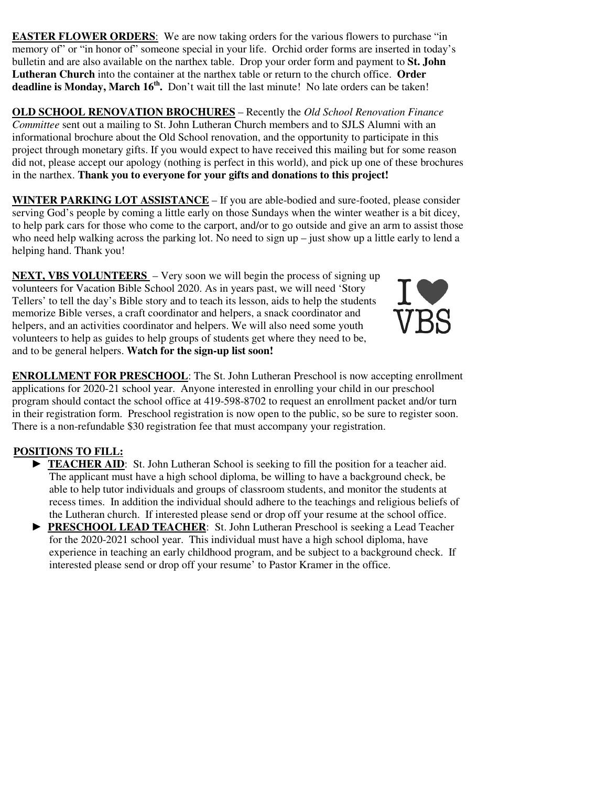**EASTER FLOWER ORDERS:** We are now taking orders for the various flowers to purchase "in memory of" or "in honor of" someone special in your life. Orchid order forms are inserted in today's bulletin and are also available on the narthex table. Drop your order form and payment to **St. John Lutheran Church** into the container at the narthex table or return to the church office. **Order**  deadline is Monday, March 16<sup>th</sup>. Don't wait till the last minute! No late orders can be taken!

**OLD SCHOOL RENOVATION BROCHURES** – Recently the *Old School Renovation Finance Committee* sent out a mailing to St. John Lutheran Church members and to SJLS Alumni with an informational brochure about the Old School renovation, and the opportunity to participate in this project through monetary gifts. If you would expect to have received this mailing but for some reason did not, please accept our apology (nothing is perfect in this world), and pick up one of these brochures in the narthex. **Thank you to everyone for your gifts and donations to this project!** 

**WINTER PARKING LOT ASSISTANCE** – If you are able-bodied and sure-footed, please consider serving God's people by coming a little early on those Sundays when the winter weather is a bit dicey, to help park cars for those who come to the carport, and/or to go outside and give an arm to assist those who need help walking across the parking lot. No need to sign up – just show up a little early to lend a helping hand. Thank you!

**NEXT, VBS VOLUNTEERS** – Very soon we will begin the process of signing up volunteers for Vacation Bible School 2020. As in years past, we will need 'Story Tellers' to tell the day's Bible story and to teach its lesson, aids to help the students memorize Bible verses, a craft coordinator and helpers, a snack coordinator and helpers, and an activities coordinator and helpers. We will also need some youth volunteers to help as guides to help groups of students get where they need to be, and to be general helpers. **Watch for the sign-up list soon!**



**ENROLLMENT FOR PRESCHOOL**: The St. John Lutheran Preschool is now accepting enrollment applications for 2020-21 school year. Anyone interested in enrolling your child in our preschool program should contact the school office at 419-598-8702 to request an enrollment packet and/or turn in their registration form. Preschool registration is now open to the public, so be sure to register soon. There is a non-refundable \$30 registration fee that must accompany your registration.

# **POSITIONS TO FILL:**

- **TEACHER AID:** St. John Lutheran School is seeking to fill the position for a teacher aid. The applicant must have a high school diploma, be willing to have a background check, be able to help tutor individuals and groups of classroom students, and monitor the students at recess times. In addition the individual should adhere to the teachings and religious beliefs of the Lutheran church. If interested please send or drop off your resume at the school office.
- ► **PRESCHOOL LEAD TEACHER**: St. John Lutheran Preschool is seeking a Lead Teacher for the 2020-2021 school year. This individual must have a high school diploma, have experience in teaching an early childhood program, and be subject to a background check. If interested please send or drop off your resume' to Pastor Kramer in the office.